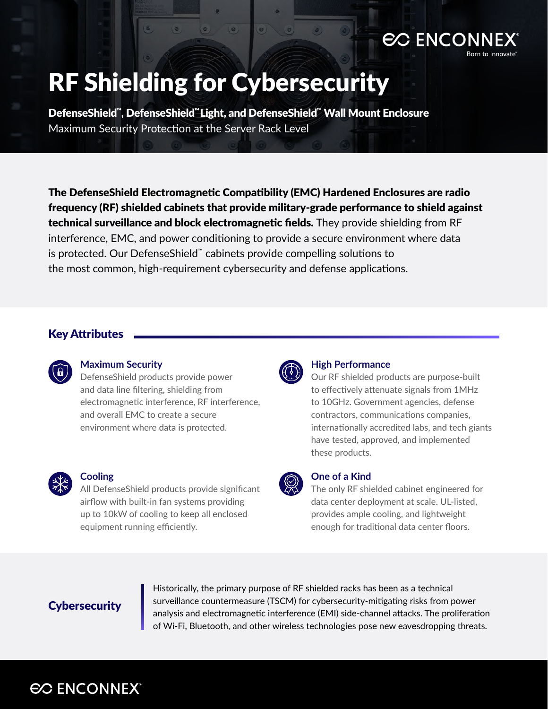# **EC ENCOR**

# RF Shielding for Cybersecurity

DefenseShield™**,** DefenseShield™ Light, and DefenseShield™ Wall Mount Enclosure Maximum Security Protection at the Server Rack Level

The DefenseShield Electromagnetic Compatibility (EMC) Hardened Enclosures are radio frequency (RF) shielded cabinets that provide military-grade performance to shield against **technical surveillance and block electromagnetic fields.** They provide shielding from RF interference, EMC, and power conditioning to provide a secure environment where data is protected. Our DefenseShield™ cabinets provide compelling solutions to the most common, high-requirement cybersecurity and defense applications.

#### Key Attributes



#### **Maximum Security**

DefenseShield products provide power and data line filtering, shielding from electromagnetic interference, RF interference, and overall EMC to create a secure environment where data is protected.



#### **Cooling**

All DefenseShield products provide significant airflow with built-in fan systems providing up to 10kW of cooling to keep all enclosed equipment running efficiently.



#### **High Performance**

Our RF shielded products are purpose-built to effectively attenuate signals from 1MHz to 10GHz. Government agencies, defense contractors, communications companies, internationally accredited labs, and tech giants have tested, approved, and implemented these products.



#### **One of a Kind**

The only RF shielded cabinet engineered for data center deployment at scale. UL-listed, provides ample cooling, and lightweight enough for traditional data center floors.

#### **Cybersecurity**

Historically, the primary purpose of RF shielded racks has been as a technical surveillance countermeasure (TSCM) for cybersecurity-mitigating risks from power analysis and electromagnetic interference (EMI) side-channel attacks. The proliferation of Wi-Fi, Bluetooth, and other wireless technologies pose new eavesdropping threats.

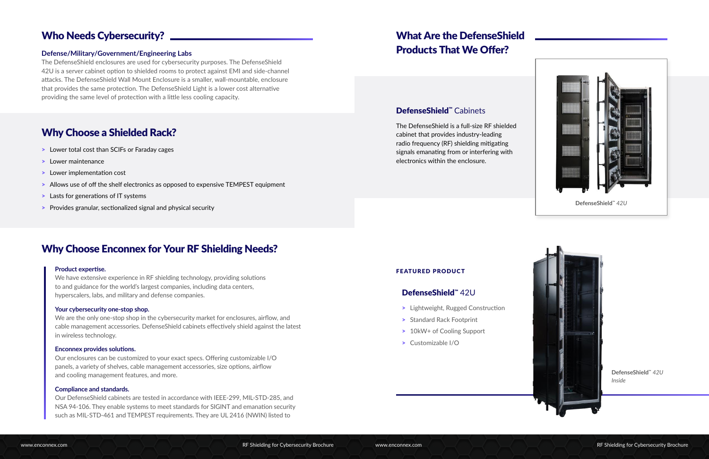- > Lower total cost than SCIFs or Faraday cages
- > Lower maintenance
- > Lower implementation cost
- > Allows use of off the shelf electronics as opposed to expensive TEMPEST equipment
- > Lasts for generations of IT systems
- Provides granular, sectionalized signal and physical security >

### DefenseShield™ Cabinets

The DefenseShield is a full-size RF shielded cabinet that provides industry-leading radio frequency (RF) shielding mitigating signals emanating from or interfering with electronics within the enclosure.

### Who Needs Cybersecurity? \_

#### **Defense/Military/Government/Engineering Labs**

The DefenseShield enclosures are used for cybersecurity purposes. The DefenseShield 42U is a server cabinet option to shielded rooms to protect against EMI and side-channel attacks. The DefenseShield Wall Mount Enclosure is a smaller, wall-mountable, enclosure that provides the same protection. The DefenseShield Light is a lower cost alternative providing the same level of protection with a little less cooling capacity.

#### **Product expertise.**

We have extensive experience in RF shielding technology, providing solutions to and guidance for the world's largest companies, including data centers, hyperscalers, labs, and military and defense companies.

#### **Your cybersecurity one-stop shop.**

We are the only one-stop shop in the cybersecurity market for enclosures, airflow, and cable management accessories. DefenseShield cabinets effectively shield against the latest in wireless technology.

#### **Enconnex provides solutions.**

Our enclosures can be customized to your exact specs. Offering customizable I/O panels, a variety of shelves, cable management accessories, size options, airflow and cooling management features, and more.

#### **Compliance and standards.**

Our DefenseShield cabinets are tested in accordance with IEEE-299, MIL-STD-285, and NSA 94-106. They enable systems to meet standards for SIGINT and emanation security such as MIL-STD-461 and TEMPEST requirements. They are UL 2416 (NWIN) listed to

- > Lightweight, Rugged Construction
- > Standard Rack Footprint
- > 10kW+ of Cooling Support
- > Customizable I/O

## What Are the DefenseShield Products That We Offer?

### Why Choose a Shielded Rack?

### Why Choose Enconnex for Your RF Shielding Needs?

#### DefenseShield™ 42U

#### FEATURED PRODUCT